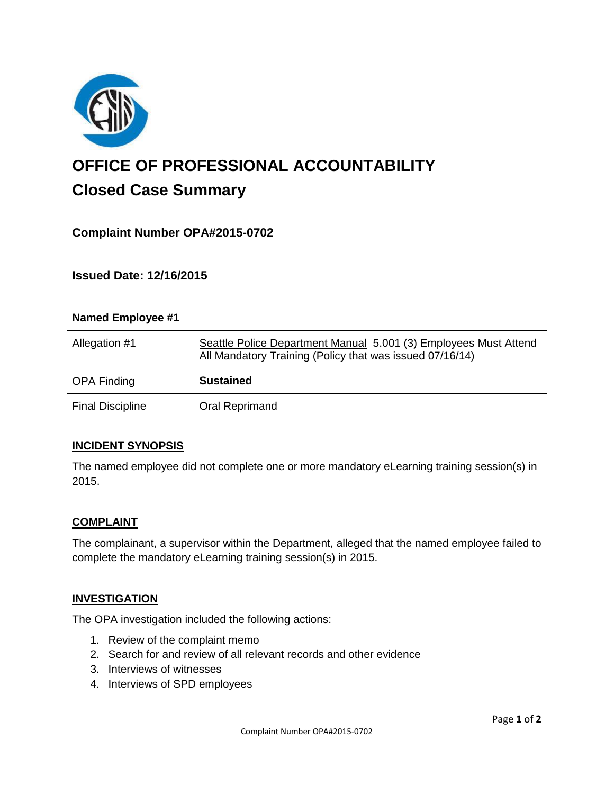

# **OFFICE OF PROFESSIONAL ACCOUNTABILITY Closed Case Summary**

## **Complaint Number OPA#2015-0702**

**Issued Date: 12/16/2015**

| Named Employee #1       |                                                                                                                              |
|-------------------------|------------------------------------------------------------------------------------------------------------------------------|
| Allegation #1           | Seattle Police Department Manual 5.001 (3) Employees Must Attend<br>All Mandatory Training (Policy that was issued 07/16/14) |
| <b>OPA Finding</b>      | <b>Sustained</b>                                                                                                             |
| <b>Final Discipline</b> | Oral Reprimand                                                                                                               |

#### **INCIDENT SYNOPSIS**

The named employee did not complete one or more mandatory eLearning training session(s) in 2015.

#### **COMPLAINT**

The complainant, a supervisor within the Department, alleged that the named employee failed to complete the mandatory eLearning training session(s) in 2015.

#### **INVESTIGATION**

The OPA investigation included the following actions:

- 1. Review of the complaint memo
- 2. Search for and review of all relevant records and other evidence
- 3. Interviews of witnesses
- 4. Interviews of SPD employees